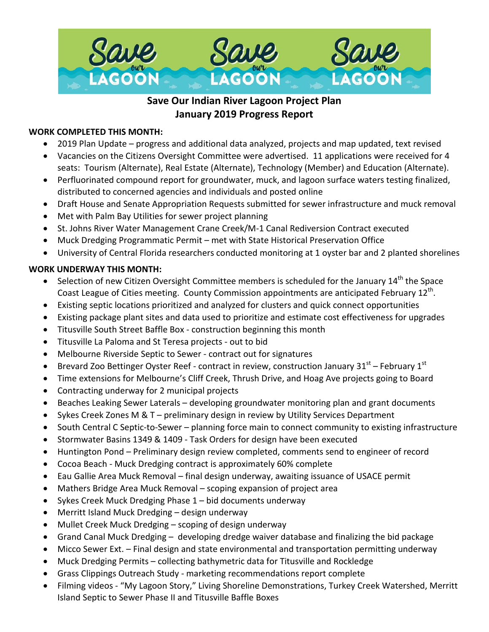

# **Save Our Indian River Lagoon Project Plan January 2019 Progress Report**

## **WORK COMPLETED THIS MONTH:**

- 2019 Plan Update progress and additional data analyzed, projects and map updated, text revised
- Vacancies on the Citizens Oversight Committee were advertised. 11 applications were received for 4 seats: Tourism (Alternate), Real Estate (Alternate), Technology (Member) and Education (Alternate).
- Perfluorinated compound report for groundwater, muck, and lagoon surface waters testing finalized, distributed to concerned agencies and individuals and posted online
- Draft House and Senate Appropriation Requests submitted for sewer infrastructure and muck removal
- Met with Palm Bay Utilities for sewer project planning
- St. Johns River Water Management Crane Creek/M-1 Canal Rediversion Contract executed
- Muck Dredging Programmatic Permit met with State Historical Preservation Office
- University of Central Florida researchers conducted monitoring at 1 oyster bar and 2 planted shorelines

# **WORK UNDERWAY THIS MONTH:**

- Selection of new Citizen Oversight Committee members is scheduled for the January 14<sup>th</sup> the Space Coast League of Cities meeting. County Commission appointments are anticipated February 12th.
- Existing septic locations prioritized and analyzed for clusters and quick connect opportunities
- Existing package plant sites and data used to prioritize and estimate cost effectiveness for upgrades
- Titusville South Street Baffle Box construction beginning this month
- Titusville La Paloma and St Teresa projects out to bid
- Melbourne Riverside Septic to Sewer contract out for signatures
- Brevard Zoo Bettinger Oyster Reef contract in review, construction January  $31<sup>st</sup>$  February  $1<sup>st</sup>$
- Time extensions for Melbourne's Cliff Creek, Thrush Drive, and Hoag Ave projects going to Board
- Contracting underway for 2 municipal projects
- Beaches Leaking Sewer Laterals developing groundwater monitoring plan and grant documents
- Sykes Creek Zones M & T preliminary design in review by Utility Services Department
- South Central C Septic-to-Sewer planning force main to connect community to existing infrastructure
- Stormwater Basins 1349 & 1409 Task Orders for design have been executed
- Huntington Pond Preliminary design review completed, comments send to engineer of record
- Cocoa Beach Muck Dredging contract is approximately 60% complete
- Eau Gallie Area Muck Removal final design underway, awaiting issuance of USACE permit
- Mathers Bridge Area Muck Removal scoping expansion of project area
- Sykes Creek Muck Dredging Phase 1 bid documents underway
- Merritt Island Muck Dredging design underway
- Mullet Creek Muck Dredging scoping of design underway
- Grand Canal Muck Dredging developing dredge waiver database and finalizing the bid package
- Micco Sewer Ext. Final design and state environmental and transportation permitting underway
- Muck Dredging Permits collecting bathymetric data for Titusville and Rockledge
- Grass Clippings Outreach Study marketing recommendations report complete
- Filming videos "My Lagoon Story," Living Shoreline Demonstrations, Turkey Creek Watershed, Merritt Island Septic to Sewer Phase II and Titusville Baffle Boxes